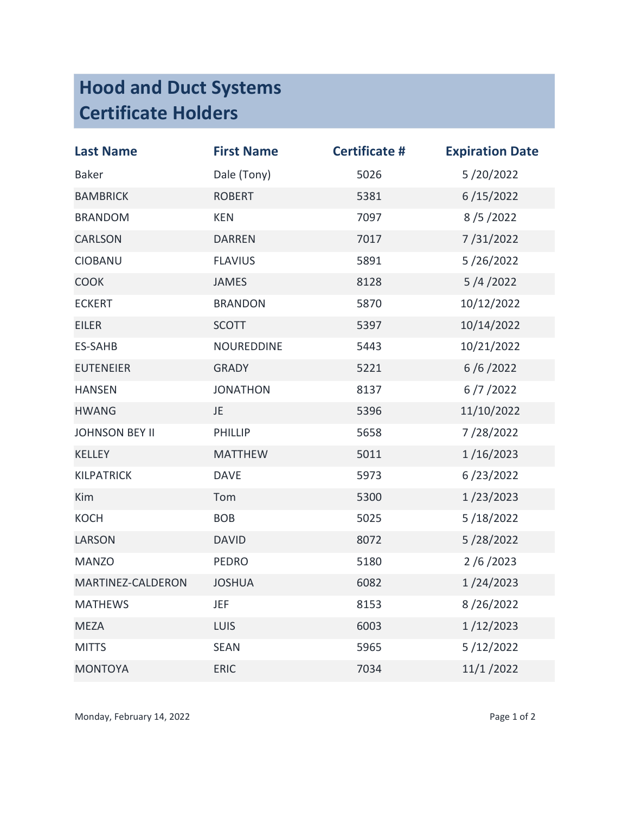## **Hood and Duct Systems Certificate Holders**

| <b>Last Name</b>      | <b>First Name</b> | <b>Certificate #</b> | <b>Expiration Date</b> |
|-----------------------|-------------------|----------------------|------------------------|
| <b>Baker</b>          | Dale (Tony)       | 5026                 | 5/20/2022              |
| <b>BAMBRICK</b>       | <b>ROBERT</b>     | 5381                 | 6/15/2022              |
| <b>BRANDOM</b>        | <b>KEN</b>        | 7097                 | 8/5/2022               |
| CARLSON               | <b>DARREN</b>     | 7017                 | 7/31/2022              |
| <b>CIOBANU</b>        | <b>FLAVIUS</b>    | 5891                 | 5/26/2022              |
| <b>COOK</b>           | <b>JAMES</b>      | 8128                 | 5/4/2022               |
| <b>ECKERT</b>         | <b>BRANDON</b>    | 5870                 | 10/12/2022             |
| <b>EILER</b>          | <b>SCOTT</b>      | 5397                 | 10/14/2022             |
| <b>ES-SAHB</b>        | <b>NOUREDDINE</b> | 5443                 | 10/21/2022             |
| <b>EUTENEIER</b>      | <b>GRADY</b>      | 5221                 | 6/6/2022               |
| <b>HANSEN</b>         | <b>JONATHON</b>   | 8137                 | 6/7/2022               |
| <b>HWANG</b>          | JE.               | 5396                 | 11/10/2022             |
| <b>JOHNSON BEY II</b> | PHILLIP           | 5658                 | 7/28/2022              |
| <b>KELLEY</b>         | <b>MATTHEW</b>    | 5011                 | 1/16/2023              |
| <b>KILPATRICK</b>     | <b>DAVE</b>       | 5973                 | 6/23/2022              |
| Kim                   | Tom               | 5300                 | 1/23/2023              |
| <b>KOCH</b>           | <b>BOB</b>        | 5025                 | 5/18/2022              |
| <b>LARSON</b>         | <b>DAVID</b>      | 8072                 | 5/28/2022              |
| <b>MANZO</b>          | <b>PEDRO</b>      | 5180                 | 2/6/2023               |
| MARTINEZ-CALDERON     | <b>JOSHUA</b>     | 6082                 | 1/24/2023              |
| <b>MATHEWS</b>        | <b>JEF</b>        | 8153                 | 8/26/2022              |
| <b>MEZA</b>           | <b>LUIS</b>       | 6003                 | 1/12/2023              |
| <b>MITTS</b>          | <b>SEAN</b>       | 5965                 | 5/12/2022              |
| <b>MONTOYA</b>        | <b>ERIC</b>       | 7034                 | 11/1/2022              |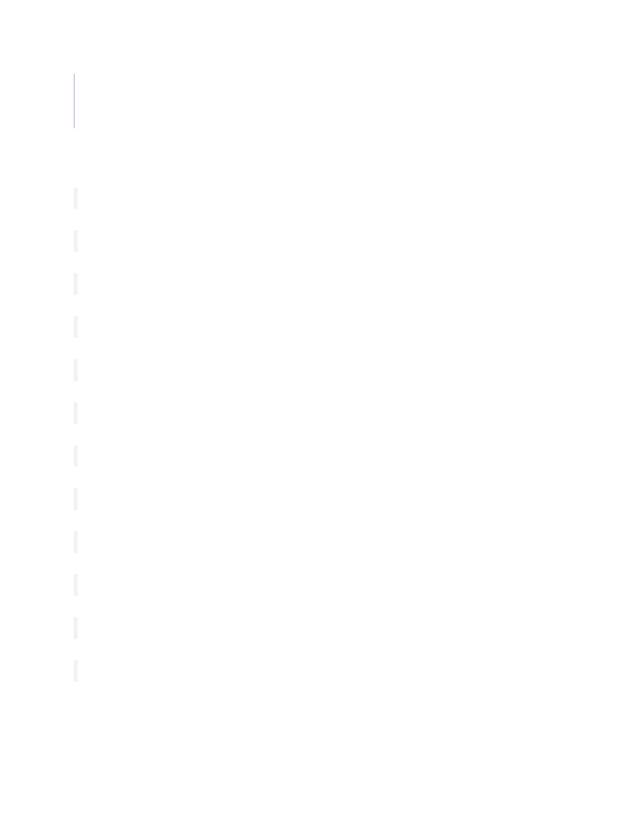I